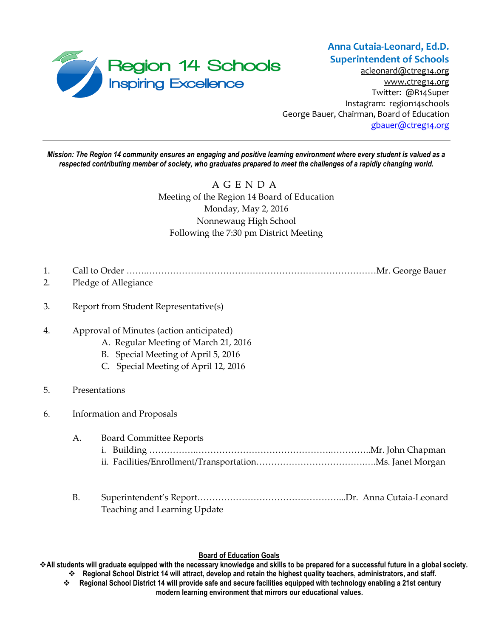

[acleonard@ctreg14.org](mailto:acleonard@ctreg14.org) [www.ctreg14.org](http://www.ctreg14.org/) Twitter: @R14Super Instagram: region14schools George Bauer, Chairman, Board of Education [gbauer@ctreg14.org](mailto:gbauer@ctreg14.org)

*Mission: The Region 14 community ensures an engaging and positive learning environment where every student is valued as a respected contributing member of society, who graduates prepared to meet the challenges of a rapidly changing world.*

> A G E N D A Meeting of the Region 14 Board of Education Monday, May 2, 2016 Nonnewaug High School Following the 7:30 pm District Meeting

- 1. Call to Order …….……………………………………………………………………Mr. George Bauer
- 2. Pledge of Allegiance
- 3. Report from Student Representative(s)
- 4. Approval of Minutes (action anticipated)
	- A. Regular Meeting of March 21, 2016
	- B. Special Meeting of April 5, 2016
	- C. Special Meeting of April 12, 2016
- 5. Presentations

### 6. Information and Proposals

- A. Board Committee Reports i. Building …………….……………………………………….…………..Mr. John Chapman
	- ii. Facilities/Enrollment/Transportation……………………………….….Ms. Janet Morgan
- B. Superintendent's Report…………………………………………...Dr. Anna Cutaia-Leonard Teaching and Learning Update

### **Board of Education Goals**

**All students will graduate equipped with the necessary knowledge and skills to be prepared for a successful future in a global society. Regional School District 14 will attract, develop and retain the highest quality teachers, administrators, and staff.**

 **Regional School District 14 will provide safe and secure facilities equipped with technology enabling a 21st century modern learning environment that mirrors our educational values.**